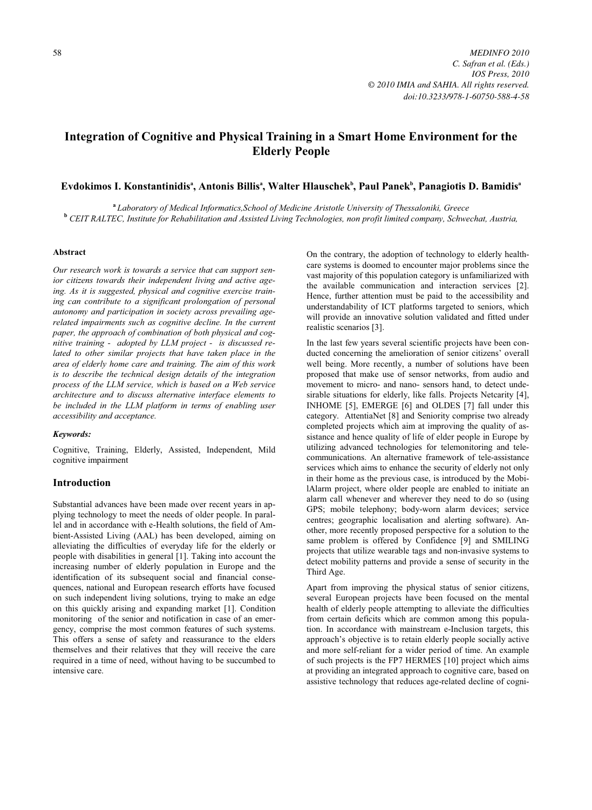# **Integration of Cognitive and Physical Training in a Smart Home Environment for the Elderly People**

# Evdokimos I. Konstantinidisª, Antonis Billisª, Walter Hlauschek<sup>b</sup>, Paul Panek<sup>b</sup>, Panagiotis D. Bamidisª

**<sup>a</sup>***Laboratory of Medical Informatics,School of Medicine Aristotle University of Thessaloniki, Greece* **b**  *CEIT RALTEC, Institute for Rehabilitation and Assisted Living Technologies, non profit limited company, Schwechat, Austria,* 

#### **Abstract**

*Our research work is towards a service that can support senior citizens towards their independent living and active ageing. As it is suggested, physical and cognitive exercise training can contribute to a significant prolongation of personal autonomy and participation in society across prevailing agerelated impairments such as cognitive decline. In the current paper, the approach of combination of both physical and cognitive training - adopted by LLM project - is discussed related to other similar projects that have taken place in the area of elderly home care and training. The aim of this work is to describe the technical design details of the integration process of the LLM service, which is based on a Web service architecture and to discuss alternative interface elements to be included in the LLM platform in terms of enabling user accessibility and acceptance.* 

#### *Keywords:*

Cognitive, Training, Elderly, Assisted, Independent, Mild cognitive impairment

# **Introduction**

Substantial advances have been made over recent years in applying technology to meet the needs of older people. In parallel and in accordance with e-Health solutions, the field of Ambient-Assisted Living (AAL) has been developed, aiming on alleviating the difficulties of everyday life for the elderly or people with disabilities in general [1]. Taking into account the increasing number of elderly population in Europe and the identification of its subsequent social and financial consequences, national and European research efforts have focused on such independent living solutions, trying to make an edge on this quickly arising and expanding market [1]. Condition monitoring of the senior and notification in case of an emergency, comprise the most common features of such systems. This offers a sense of safety and reassurance to the elders themselves and their relatives that they will receive the care required in a time of need, without having to be succumbed to intensive care.

On the contrary, the adoption of technology to elderly healthcare systems is doomed to encounter major problems since the vast majority of this population category is unfamiliarized with the available communication and interaction services [2]. Hence, further attention must be paid to the accessibility and understandability of ICT platforms targeted to seniors, which will provide an innovative solution validated and fitted under realistic scenarios [3].

In the last few years several scientific projects have been conducted concerning the amelioration of senior citizens' overall well being. More recently, a number of solutions have been proposed that make use of sensor networks, from audio and movement to micro- and nano- sensors hand, to detect undesirable situations for elderly, like falls. Projects Netcarity [4], INHOME [5], EMERGE [6] and OLDES [7] fall under this category. AttentiaNet [8] and Seniority comprise two already completed projects which aim at improving the quality of assistance and hence quality of life of elder people in Europe by utilizing advanced technologies for telemonitoring and telecommunications. An alternative framework of tele-assistance services which aims to enhance the security of elderly not only in their home as the previous case, is introduced by the MobilAlarm project, where older people are enabled to initiate an alarm call whenever and wherever they need to do so (using GPS; mobile telephony; body-worn alarm devices; service centres; geographic localisation and alerting software). Another, more recently proposed perspective for a solution to the same problem is offered by Confidence [9] and SMILING projects that utilize wearable tags and non-invasive systems to detect mobility patterns and provide a sense of security in the Third Age.

Apart from improving the physical status of senior citizens, several European projects have been focused on the mental health of elderly people attempting to alleviate the difficulties from certain deficits which are common among this population. In accordance with mainstream e-Inclusion targets, this approach's objective is to retain elderly people socially active and more self-reliant for a wider period of time. An example of such projects is the FP7 HERMES [10] project which aims at providing an integrated approach to cognitive care, based on assistive technology that reduces age-related decline of cogni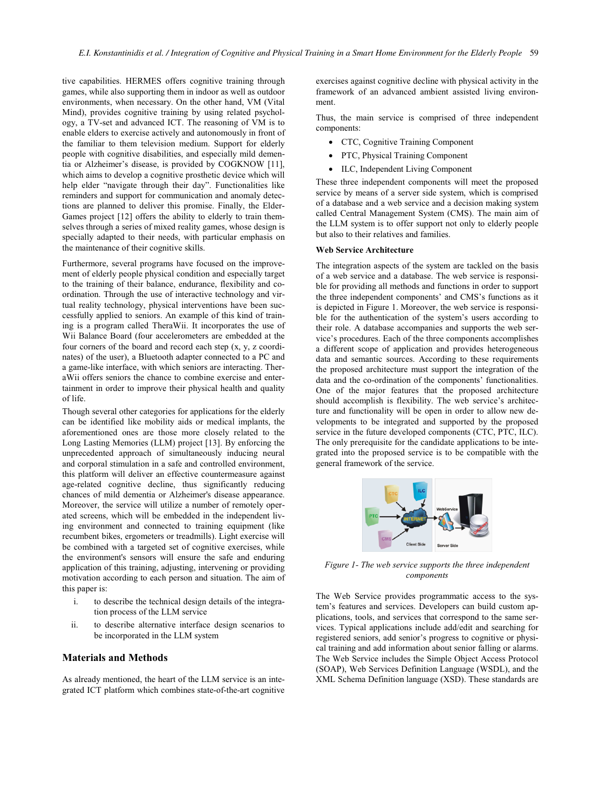tive capabilities. HERMES offers cognitive training through games, while also supporting them in indoor as well as outdoor environments, when necessary. On the other hand, VM (Vital Mind), provides cognitive training by using related psychology, a TV-set and advanced ICT. The reasoning of VM is to enable elders to exercise actively and autonomously in front of the familiar to them television medium. Support for elderly people with cognitive disabilities, and especially mild dementia or Alzheimer's disease, is provided by COGKNOW [11], which aims to develop a cognitive prosthetic device which will help elder "navigate through their day". Functionalities like reminders and support for communication and anomaly detections are planned to deliver this promise. Finally, the Elder-Games project [12] offers the ability to elderly to train themselves through a series of mixed reality games, whose design is specially adapted to their needs, with particular emphasis on the maintenance of their cognitive skills.

Furthermore, several programs have focused on the improvement of elderly people physical condition and especially target to the training of their balance, endurance, flexibility and coordination. Through the use of interactive technology and virtual reality technology, physical interventions have been successfully applied to seniors. An example of this kind of training is a program called TheraWii. It incorporates the use of Wii Balance Board (four accelerometers are embedded at the four corners of the board and record each step (x, y, z coordinates) of the user), a Bluetooth adapter connected to a PC and a game-like interface, with which seniors are interacting. TheraWii offers seniors the chance to combine exercise and entertainment in order to improve their physical health and quality of life.

Though several other categories for applications for the elderly can be identified like mobility aids or medical implants, the aforementioned ones are those more closely related to the Long Lasting Memories (LLM) project [13]. By enforcing the unprecedented approach of simultaneously inducing neural and corporal stimulation in a safe and controlled environment, this platform will deliver an effective countermeasure against age-related cognitive decline, thus significantly reducing chances of mild dementia or Alzheimer's disease appearance. Moreover, the service will utilize a number of remotely operated screens, which will be embedded in the independent living environment and connected to training equipment (like recumbent bikes, ergometers or treadmills). Light exercise will be combined with a targeted set of cognitive exercises, while the environment's sensors will ensure the safe and enduring application of this training, adjusting, intervening or providing motivation according to each person and situation. The aim of this paper is:

- i. to describe the technical design details of the integration process of the LLM service
- ii. to describe alternative interface design scenarios to be incorporated in the LLM system

# **Materials and Methods**

As already mentioned, the heart of the LLM service is an integrated ICT platform which combines state-of-the-art cognitive exercises against cognitive decline with physical activity in the framework of an advanced ambient assisted living environment.

Thus, the main service is comprised of three independent components:

- CTC, Cognitive Training Component
- PTC, Physical Training Component
- ILC, Independent Living Component

These three independent components will meet the proposed service by means of a server side system, which is comprised of a database and a web service and a decision making system called Central Management System (CMS). The main aim of the LLM system is to offer support not only to elderly people but also to their relatives and families.

#### **Web Service Architecture**

The integration aspects of the system are tackled on the basis of a web service and a database. The web service is responsible for providing all methods and functions in order to support the three independent components' and CMS's functions as it is depicted in Figure 1. Moreover, the web service is responsible for the authentication of the system's users according to their role. A database accompanies and supports the web service's procedures. Each of the three components accomplishes a different scope of application and provides heterogeneous data and semantic sources. According to these requirements the proposed architecture must support the integration of the data and the co-ordination of the components' functionalities. One of the major features that the proposed architecture should accomplish is flexibility. The web service's architecture and functionality will be open in order to allow new developments to be integrated and supported by the proposed service in the future developed components (CTC, PTC, ILC). The only prerequisite for the candidate applications to be integrated into the proposed service is to be compatible with the general framework of the service.



*Figure 1- The web service supports the three independent components* 

The Web Service provides programmatic access to the system's features and services. Developers can build custom applications, tools, and services that correspond to the same services. Typical applications include add/edit and searching for registered seniors, add senior's progress to cognitive or physical training and add information about senior falling or alarms. The Web Service includes the Simple Object Access Protocol (SOAP), Web Services Definition Language (WSDL), and the XML Schema Definition language (XSD). These standards are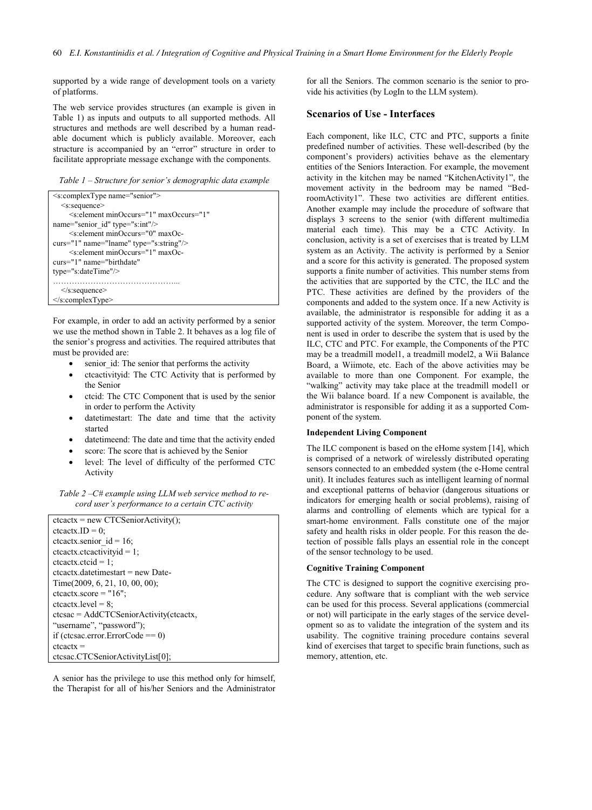supported by a wide range of development tools on a variety of platforms.

The web service provides structures (an example is given in Table 1) as inputs and outputs to all supported methods. All structures and methods are well described by a human readable document which is publicly available. Moreover, each structure is accompanied by an "error" structure in order to facilitate appropriate message exchange with the components.

*Table 1 – Structure for senior's demographic data example* 

| <s:complextype name="senior"></s:complextype>                  |
|----------------------------------------------------------------|
| $\leq$ s:sequence $\geq$                                       |
| <s:element <="" maxoccurs="1" minoccurs="1" td=""></s:element> |
| name="senior id" type="s:int"/>                                |
| <s:element maxoc-<="" minoccurs="0" td=""></s:element>         |
| curs="1" name="lname" type="s:string"/>                        |
| s: element minOccurs="1" maxOc-                                |
| curs="1" name="birthdate"                                      |
| $type="s:dateTime"$                                            |
|                                                                |
| $\le$ /s:sequence>                                             |
| $\le$ /s:complexType>                                          |

For example, in order to add an activity performed by a senior we use the method shown in Table 2. It behaves as a log file of the senior's progress and activities. The required attributes that must be provided are:

- senior\_id: The senior that performs the activity
- ctcactivityid: The CTC Activity that is performed by the Senior
- ctcid: The CTC Component that is used by the senior in order to perform the Activity
- datetimestart: The date and time that the activity started
- datetimeend: The date and time that the activity ended
- score: The score that is achieved by the Senior
- level: The level of difficulty of the performed CTC Activity

| Table $2 - C$ # example using LLM web service method to re- |                                                   |  |
|-------------------------------------------------------------|---------------------------------------------------|--|
|                                                             | cord user's performance to a certain CTC activity |  |

| $ctcactx = new CTCSeniorActivity();$      |
|-------------------------------------------|
| $ctcactx.ID = 0$ ;                        |
| cteactx.senior $id = 16$ ;                |
| $ctcactx.ctcactivityid = 1;$              |
| $ctcactx.ctcid = 1$ ;                     |
| $ctcactx.datetimestar = new Date-$        |
| Time $(2009, 6, 21, 10, 00, 00);$         |
| $ctcactx.score = "16";$                   |
| $ctcactx. level = 8$ ;                    |
| $ctcsac = AddCTCSeniorActivity (ctcactx,$ |
| "username", "password");                  |
| if (ctcsac.error.ErrorCode == 0)          |
| $ctcactx =$                               |
| ctcsac.CTCSeniorActivityList[0];          |

A senior has the privilege to use this method only for himself, the Therapist for all of his/her Seniors and the Administrator for all the Seniors. The common scenario is the senior to provide his activities (by LogIn to the LLM system).

## **Scenarios of Use - Interfaces**

Each component, like ILC, CTC and PTC, supports a finite predefined number of activities. These well-described (by the component's providers) activities behave as the elementary entities of the Seniors Interaction. For example, the movement activity in the kitchen may be named "KitchenActivity1", the movement activity in the bedroom may be named "BedroomActivity1". These two activities are different entities. Another example may include the procedure of software that displays 3 screens to the senior (with different multimedia material each time). This may be a CTC Activity. In conclusion, activity is a set of exercises that is treated by LLM system as an Activity. The activity is performed by a Senior and a score for this activity is generated. The proposed system supports a finite number of activities. This number stems from the activities that are supported by the CTC, the ILC and the PTC. These activities are defined by the providers of the components and added to the system once. If a new Activity is available, the administrator is responsible for adding it as a supported activity of the system. Moreover, the term Component is used in order to describe the system that is used by the ILC, CTC and PTC. For example, the Components of the PTC may be a treadmill model1, a treadmill model2, a Wii Balance Board, a Wiimote, etc. Each of the above activities may be available to more than one Component. For example, the "walking" activity may take place at the treadmill model1 or the Wii balance board. If a new Component is available, the administrator is responsible for adding it as a supported Component of the system.

### **Independent Living Component**

The ILC component is based on the eHome system [14], which is comprised of a network of wirelessly distributed operating sensors connected to an embedded system (the e-Home central unit). It includes features such as intelligent learning of normal and exceptional patterns of behavior (dangerous situations or indicators for emerging health or social problems), raising of alarms and controlling of elements which are typical for a smart-home environment. Falls constitute one of the major safety and health risks in older people. For this reason the detection of possible falls plays an essential role in the concept of the sensor technology to be used.

## **Cognitive Training Component**

The CTC is designed to support the cognitive exercising procedure. Any software that is compliant with the web service can be used for this process. Several applications (commercial or not) will participate in the early stages of the service development so as to validate the integration of the system and its usability. The cognitive training procedure contains several kind of exercises that target to specific brain functions, such as memory, attention, etc.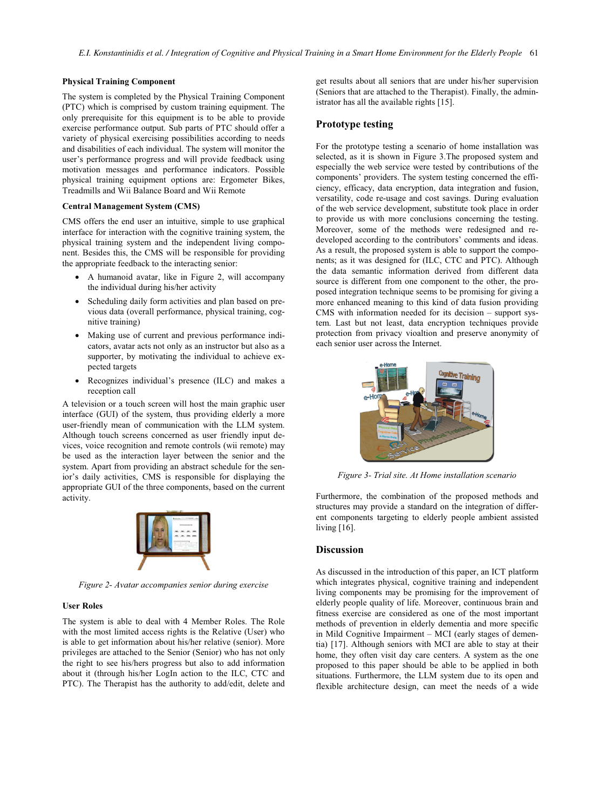## **Physical Training Component**

The system is completed by the Physical Training Component (PTC) which is comprised by custom training equipment. The only prerequisite for this equipment is to be able to provide exercise performance output. Sub parts of PTC should offer a variety of physical exercising possibilities according to needs and disabilities of each individual. The system will monitor the user's performance progress and will provide feedback using motivation messages and performance indicators. Possible physical training equipment options are: Ergometer Bikes, Treadmills and Wii Balance Board and Wii Remote

#### **Central Management System (CMS)**

CMS offers the end user an intuitive, simple to use graphical interface for interaction with the cognitive training system, the physical training system and the independent living component. Besides this, the CMS will be responsible for providing the appropriate feedback to the interacting senior:

- A humanoid avatar, like in Figure 2, will accompany the individual during his/her activity
- Scheduling daily form activities and plan based on previous data (overall performance, physical training, cognitive training)
- Making use of current and previous performance indicators, avatar acts not only as an instructor but also as a supporter, by motivating the individual to achieve expected targets
- Recognizes individual's presence (ILC) and makes a reception call

A television or a touch screen will host the main graphic user interface (GUI) of the system, thus providing elderly a more user-friendly mean of communication with the LLM system. Although touch screens concerned as user friendly input devices, voice recognition and remote controls (wii remote) may be used as the interaction layer between the senior and the system. Apart from providing an abstract schedule for the senior's daily activities, CMS is responsible for displaying the appropriate GUI of the three components, based on the current activity.



*Figure 2- Avatar accompanies senior during exercise* 

## **User Roles**

The system is able to deal with 4 Member Roles. The Role with the most limited access rights is the Relative (User) who is able to get information about his/her relative (senior). More privileges are attached to the Senior (Senior) who has not only the right to see his/hers progress but also to add information about it (through his/her LogIn action to the ILC, CTC and PTC). The Therapist has the authority to add/edit, delete and get results about all seniors that are under his/her supervision (Seniors that are attached to the Therapist). Finally, the administrator has all the available rights [15].

# **Prototype testing**

For the prototype testing a scenario of home installation was selected, as it is shown in Figure 3.The proposed system and especially the web service were tested by contributions of the components' providers. The system testing concerned the efficiency, efficacy, data encryption, data integration and fusion, versatility, code re-usage and cost savings. During evaluation of the web service development, substitute took place in order to provide us with more conclusions concerning the testing. Moreover, some of the methods were redesigned and redeveloped according to the contributors' comments and ideas. As a result, the proposed system is able to support the components; as it was designed for (ILC, CTC and PTC). Although the data semantic information derived from different data source is different from one component to the other, the proposed integration technique seems to be promising for giving a more enhanced meaning to this kind of data fusion providing CMS with information needed for its decision – support system. Last but not least, data encryption techniques provide protection from privacy vioaltion and preserve anonymity of each senior user across the Internet.



*Figure 3- Trial site. At Home installation scenario* 

Furthermore, the combination of the proposed methods and structures may provide a standard on the integration of different components targeting to elderly people ambient assisted living [16].

## **Discussion**

As discussed in the introduction of this paper, an ICT platform which integrates physical, cognitive training and independent living components may be promising for the improvement of elderly people quality of life. Moreover, continuous brain and fitness exercise are considered as one of the most important methods of prevention in elderly dementia and more specific in Mild Cognitive Impairment – MCI (early stages of dementia) [17]. Although seniors with MCI are able to stay at their home, they often visit day care centers. A system as the one proposed to this paper should be able to be applied in both situations. Furthermore, the LLM system due to its open and flexible architecture design, can meet the needs of a wide